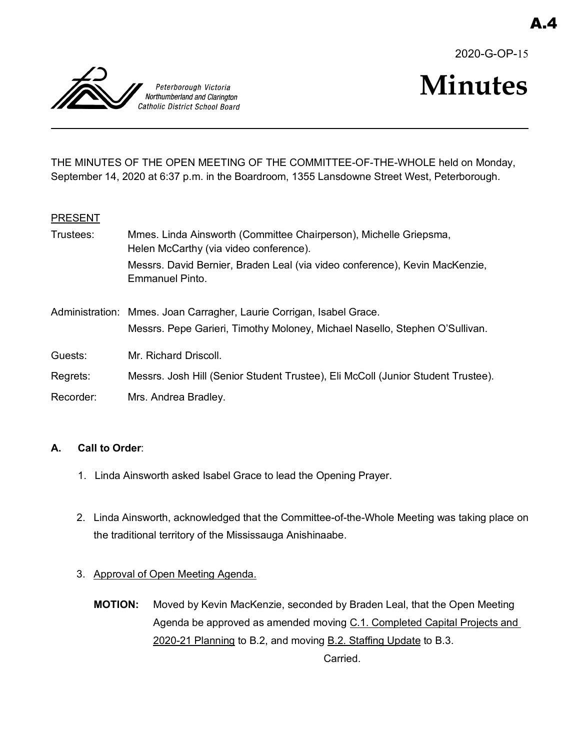



# **Minutes**

THE MINUTES OF THE OPEN MEETING OF THE COMMITTEE-OF-THE-WHOLE held on Monday, September 14, 2020 at 6:37 p.m. in the Boardroom, 1355 Lansdowne Street West, Peterborough.

## **PRESENT**

| Trustees: | Mmes. Linda Ainsworth (Committee Chairperson), Michelle Griepsma,<br>Helen McCarthy (via video conference).                                         |
|-----------|-----------------------------------------------------------------------------------------------------------------------------------------------------|
|           | Messrs. David Bernier, Braden Leal (via video conference), Kevin MacKenzie,<br>Emmanuel Pinto.                                                      |
|           | Administration: Mmes. Joan Carragher, Laurie Corrigan, Isabel Grace.<br>Messrs. Pepe Garieri, Timothy Moloney, Michael Nasello, Stephen O'Sullivan. |
| Guests:   | Mr. Richard Driscoll.                                                                                                                               |
| Regrets:  | Messrs. Josh Hill (Senior Student Trustee), Eli McColl (Junior Student Trustee).                                                                    |
| Recorder: | Mrs. Andrea Bradley.                                                                                                                                |

## **A. Call to Order**:

- 1. Linda Ainsworth asked Isabel Grace to lead the Opening Prayer.
- 2. Linda Ainsworth, acknowledged that the Committee-of-the-Whole Meeting was taking place on the traditional territory of the Mississauga Anishinaabe.
- 3. Approval of Open Meeting Agenda.
	- **MOTION:** Moved by Kevin MacKenzie, seconded by Braden Leal, that the Open Meeting Agenda be approved as amended moving C.1. Completed Capital Projects and 2020-21 Planning to B.2, and moving B.2. Staffing Update to B.3. Carried.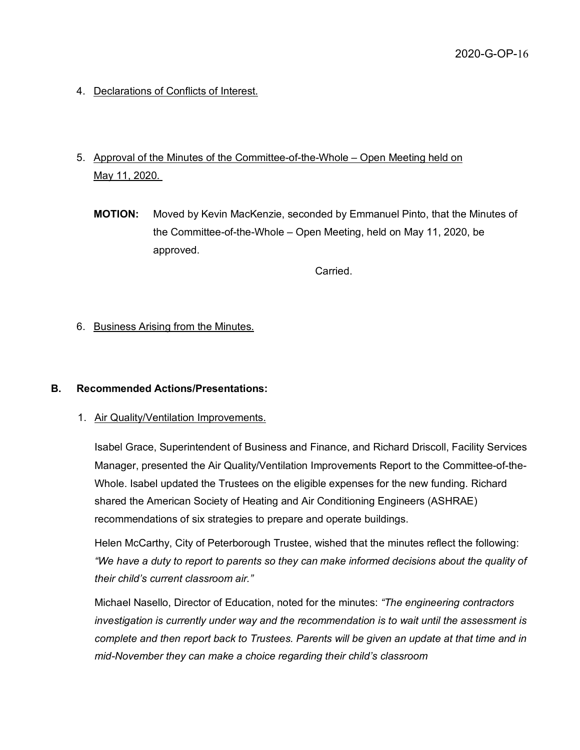- 4. Declarations of Conflicts of Interest.
- 5. Approval of the Minutes of the Committee-of-the-Whole Open Meeting held on May 11, 2020.
	- **MOTION:** Moved by Kevin MacKenzie, seconded by Emmanuel Pinto, that the Minutes of the Committee-of-the-Whole – Open Meeting, held on May 11, 2020, be approved.

Carried.

6. Business Arising from the Minutes.

#### **B. Recommended Actions/Presentations:**

1. Air Quality/Ventilation Improvements.

Isabel Grace, Superintendent of Business and Finance, and Richard Driscoll, Facility Services Manager, presented the Air Quality/Ventilation Improvements Report to the Committee-of-the-Whole. Isabel updated the Trustees on the eligible expenses for the new funding. Richard shared the American Society of Heating and Air Conditioning Engineers (ASHRAE) recommendations of six strategies to prepare and operate buildings.

Helen McCarthy, City of Peterborough Trustee, wished that the minutes reflect the following: *"We have a duty to report to parents so they can make informed decisions about the quality of their child's current classroom air."*

Michael Nasello, Director of Education, noted for the minutes: *"The engineering contractors investigation is currently under way and the recommendation is to wait until the assessment is complete and then report back to Trustees. Parents will be given an update at that time and in mid-November they can make a choice regarding their child's classroom*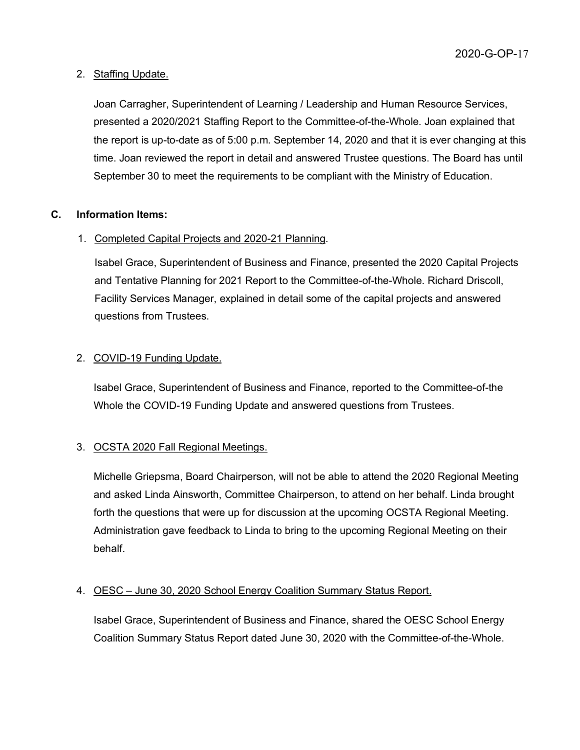# 2. Staffing Update.

Joan Carragher, Superintendent of Learning / Leadership and Human Resource Services, presented a 2020/2021 Staffing Report to the Committee-of-the-Whole. Joan explained that the report is up-to-date as of 5:00 p.m. September 14, 2020 and that it is ever changing at this time. Joan reviewed the report in detail and answered Trustee questions. The Board has until September 30 to meet the requirements to be compliant with the Ministry of Education.

# **C. Information Items:**

# 1. Completed Capital Projects and 2020-21 Planning.

Isabel Grace, Superintendent of Business and Finance, presented the 2020 Capital Projects and Tentative Planning for 2021 Report to the Committee-of-the-Whole. Richard Driscoll, Facility Services Manager, explained in detail some of the capital projects and answered questions from Trustees.

# 2. COVID-19 Funding Update.

Isabel Grace, Superintendent of Business and Finance, reported to the Committee-of-the Whole the COVID-19 Funding Update and answered questions from Trustees.

# 3. OCSTA 2020 Fall Regional Meetings.

Michelle Griepsma, Board Chairperson, will not be able to attend the 2020 Regional Meeting and asked Linda Ainsworth, Committee Chairperson, to attend on her behalf. Linda brought forth the questions that were up for discussion at the upcoming OCSTA Regional Meeting. Administration gave feedback to Linda to bring to the upcoming Regional Meeting on their behalf.

# 4. OESC – June 30, 2020 School Energy Coalition Summary Status Report.

Isabel Grace, Superintendent of Business and Finance, shared the OESC School Energy Coalition Summary Status Report dated June 30, 2020 with the Committee-of-the-Whole.